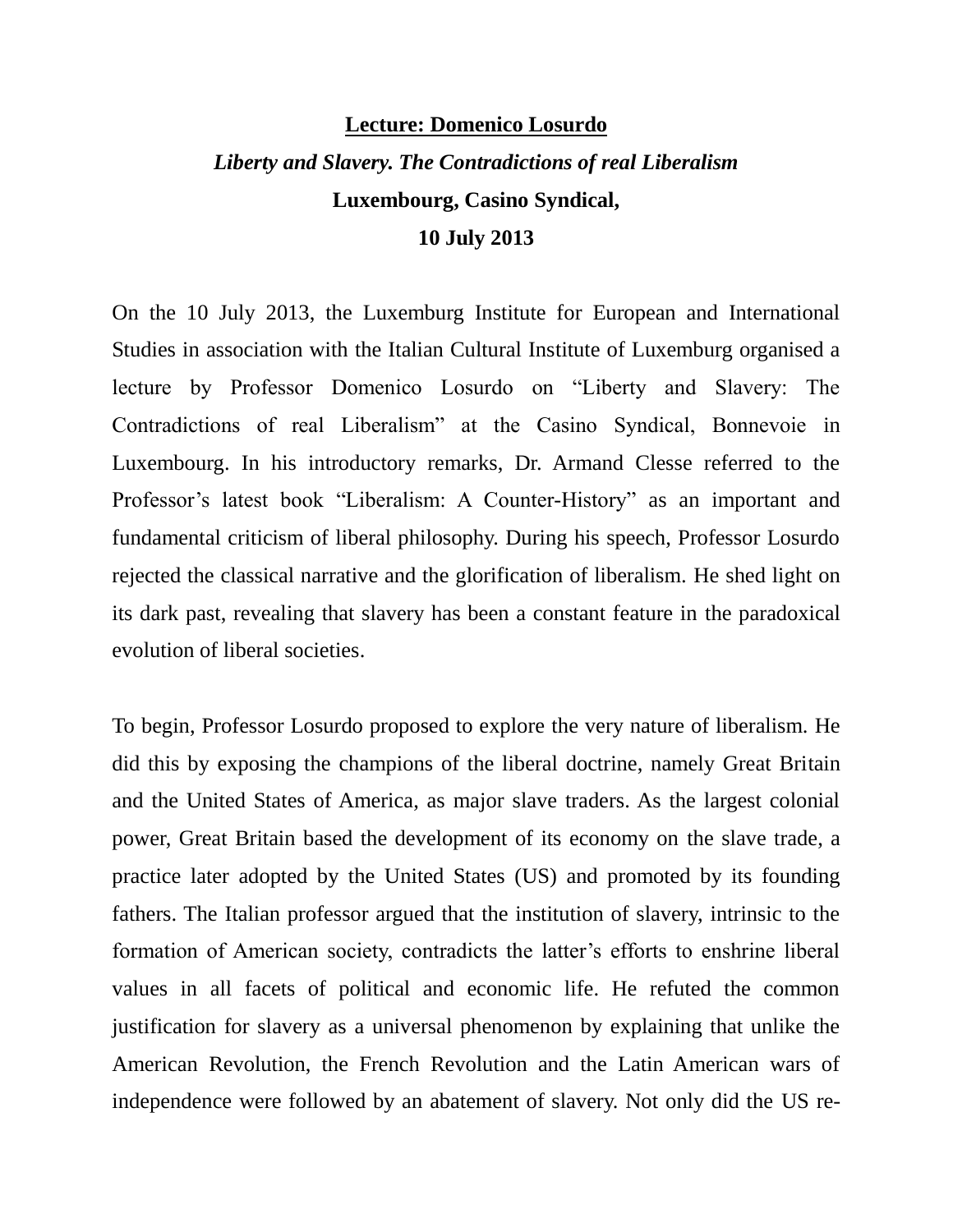## **Lecture: Domenico Losurdo** *Liberty and Slavery. The Contradictions of real Liberalism* **Luxembourg, Casino Syndical, 10 July 2013**

On the 10 July 2013, the Luxemburg Institute for European and International Studies in association with the Italian Cultural Institute of Luxemburg organised a lecture by Professor Domenico Losurdo on "Liberty and Slavery: The Contradictions of real Liberalism" at the Casino Syndical, Bonnevoie in Luxembourg. In his introductory remarks, Dr. Armand Clesse referred to the Professor's latest book "Liberalism: A Counter-History" as an important and fundamental criticism of liberal philosophy. During his speech, Professor Losurdo rejected the classical narrative and the glorification of liberalism. He shed light on its dark past, revealing that slavery has been a constant feature in the paradoxical evolution of liberal societies.

To begin, Professor Losurdo proposed to explore the very nature of liberalism. He did this by exposing the champions of the liberal doctrine, namely Great Britain and the United States of America, as major slave traders. As the largest colonial power, Great Britain based the development of its economy on the slave trade, a practice later adopted by the United States (US) and promoted by its founding fathers. The Italian professor argued that the institution of slavery, intrinsic to the formation of American society, contradicts the latter's efforts to enshrine liberal values in all facets of political and economic life. He refuted the common justification for slavery as a universal phenomenon by explaining that unlike the American Revolution, the French Revolution and the Latin American wars of independence were followed by an abatement of slavery. Not only did the US re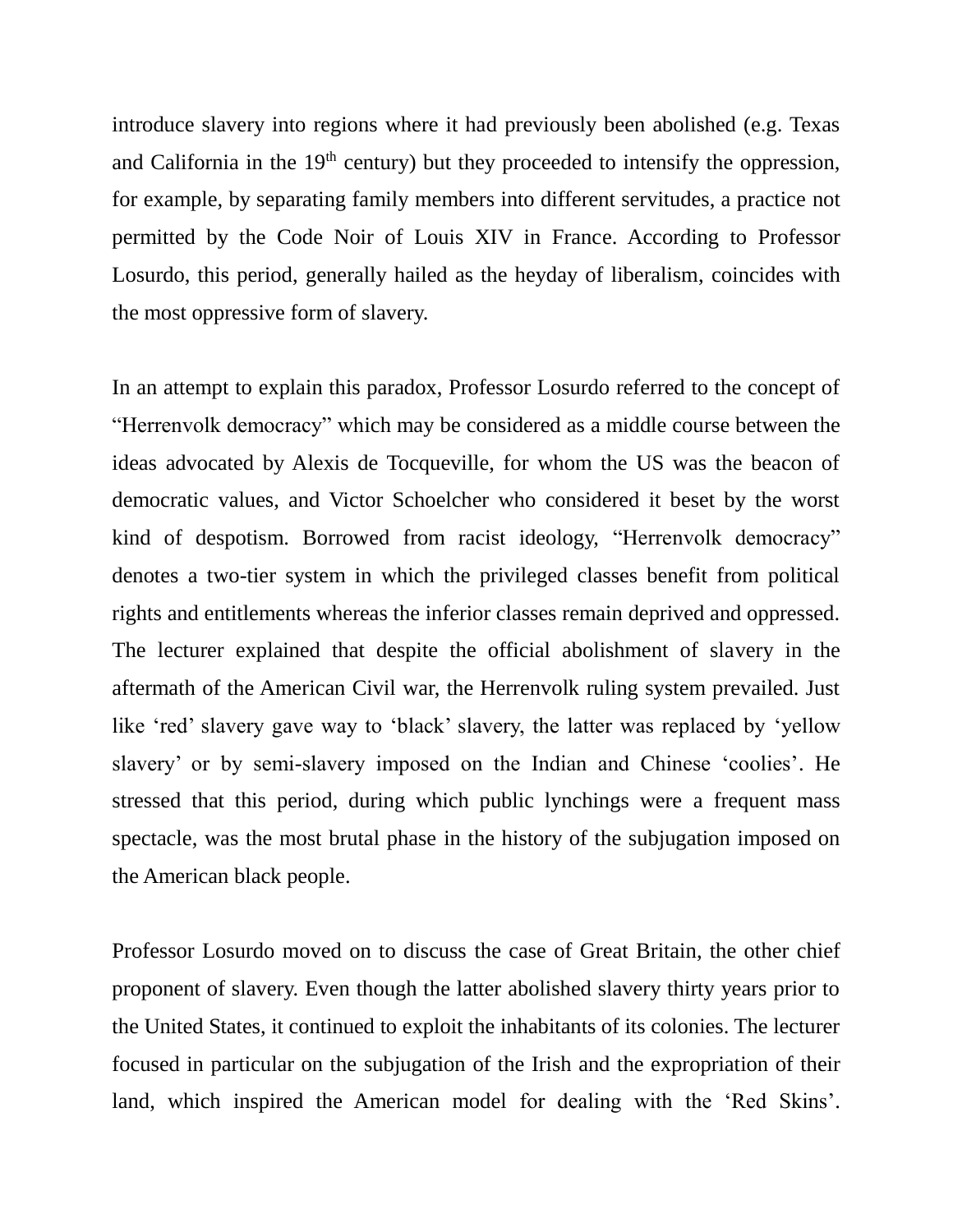introduce slavery into regions where it had previously been abolished (e.g. Texas and California in the  $19<sup>th</sup>$  century) but they proceeded to intensify the oppression, for example, by separating family members into different servitudes, a practice not permitted by the Code Noir of Louis XIV in France. According to Professor Losurdo, this period, generally hailed as the heyday of liberalism, coincides with the most oppressive form of slavery.

In an attempt to explain this paradox, Professor Losurdo referred to the concept of "Herrenvolk democracy" which may be considered as a middle course between the ideas advocated by Alexis de Tocqueville, for whom the US was the beacon of democratic values, and Victor Schoelcher who considered it beset by the worst kind of despotism. Borrowed from racist ideology, "Herrenvolk democracy" denotes a two-tier system in which the privileged classes benefit from political rights and entitlements whereas the inferior classes remain deprived and oppressed. The lecturer explained that despite the official abolishment of slavery in the aftermath of the American Civil war, the Herrenvolk ruling system prevailed. Just like 'red' slavery gave way to 'black' slavery, the latter was replaced by 'yellow slavery' or by semi-slavery imposed on the Indian and Chinese 'coolies'. He stressed that this period, during which public lynchings were a frequent mass spectacle, was the most brutal phase in the history of the subjugation imposed on the American black people.

Professor Losurdo moved on to discuss the case of Great Britain, the other chief proponent of slavery. Even though the latter abolished slavery thirty years prior to the United States, it continued to exploit the inhabitants of its colonies. The lecturer focused in particular on the subjugation of the Irish and the expropriation of their land, which inspired the American model for dealing with the 'Red Skins'.